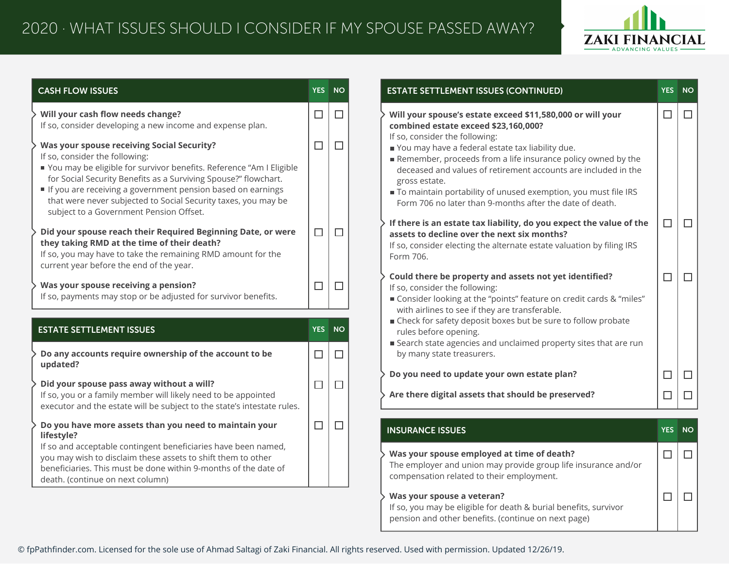

| <b>CASH FLOW ISSUES</b>                                                                                                                                                                                                                                                                                                                                                                                   | <b>YES</b> | <b>NO</b> | <b>ESTATE SETTLEMENT ISSUES (CONTINUED)</b>                                                                                                                                                                                                                                                                                                                                                                                    |  |  |  |
|-----------------------------------------------------------------------------------------------------------------------------------------------------------------------------------------------------------------------------------------------------------------------------------------------------------------------------------------------------------------------------------------------------------|------------|-----------|--------------------------------------------------------------------------------------------------------------------------------------------------------------------------------------------------------------------------------------------------------------------------------------------------------------------------------------------------------------------------------------------------------------------------------|--|--|--|
| Will your cash flow needs change?<br>If so, consider developing a new income and expense plan.                                                                                                                                                                                                                                                                                                            | □          | $\Box$    | Will your spouse's estate exceed \$11,580,000 or will your<br>combined estate exceed \$23,160,000?                                                                                                                                                                                                                                                                                                                             |  |  |  |
| <b>Was your spouse receiving Social Security?</b><br>If so, consider the following:<br>You may be eligible for survivor benefits. Reference "Am I Eligible<br>for Social Security Benefits as a Surviving Spouse?" flowchart.<br>If you are receiving a government pension based on earnings<br>that were never subjected to Social Security taxes, you may be<br>subject to a Government Pension Offset. | $\Box$     | $\Box$    | If so, consider the following:<br>You may have a federal estate tax liability due.<br>Remember, proceeds from a life insurance policy owned by the<br>deceased and values of retirement accounts are included in the<br>gross estate.<br>To maintain portability of unused exemption, you must file IRS<br>Form 706 no later than 9-months after the date of death.                                                            |  |  |  |
| Did your spouse reach their Required Beginning Date, or were<br>they taking RMD at the time of their death?<br>If so, you may have to take the remaining RMD amount for the<br>current year before the end of the year.                                                                                                                                                                                   | $\Box$     | $\Box$    | If there is an estate tax liability, do you expect the value of the<br>assets to decline over the next six months?<br>If so, consider electing the alternate estate valuation by filing IRS<br>Form 706.<br>Could there be property and assets not yet identified?<br>If so, consider the following:<br>■ Consider looking at the "points" feature on credit cards & "miles"<br>with airlines to see if they are transferable. |  |  |  |
| Was your spouse receiving a pension?<br>If so, payments may stop or be adjusted for survivor benefits.                                                                                                                                                                                                                                                                                                    | $\Box$     | $\Box$    |                                                                                                                                                                                                                                                                                                                                                                                                                                |  |  |  |
| <b>ESTATE SETTLEMENT ISSUES</b>                                                                                                                                                                                                                                                                                                                                                                           | <b>YES</b> | <b>NO</b> | ■ Check for safety deposit boxes but be sure to follow probate<br>rules before opening.                                                                                                                                                                                                                                                                                                                                        |  |  |  |
| Do any accounts require ownership of the account to be                                                                                                                                                                                                                                                                                                                                                    | $\Box$     | $\Box$    | ■ Search state agencies and unclaimed property sites that are run<br>by many state treasurers.                                                                                                                                                                                                                                                                                                                                 |  |  |  |
| updated?                                                                                                                                                                                                                                                                                                                                                                                                  |            |           | Do you need to update your own estate plan?                                                                                                                                                                                                                                                                                                                                                                                    |  |  |  |
| Did your spouse pass away without a will?<br>If so, you or a family member will likely need to be appointed<br>executor and the estate will be subject to the state's intestate rules.                                                                                                                                                                                                                    | $\Box$     | $\Box$    | Are there digital assets that should be preserved?                                                                                                                                                                                                                                                                                                                                                                             |  |  |  |
| Do you have more assets than you need to maintain your<br>lifestyle?                                                                                                                                                                                                                                                                                                                                      | $\Box$     | $\Box$    | <b>INSURANCE ISSUES</b>                                                                                                                                                                                                                                                                                                                                                                                                        |  |  |  |
| If so and acceptable contingent beneficiaries have been named,<br>you may wish to disclaim these assets to shift them to other<br>beneficiaries. This must be done within 9-months of the date of<br>death. (continue on next column)                                                                                                                                                                     |            |           | Was your spouse employed at time of death?<br>The employer and union may provide group life insurance and/or<br>compensation related to their employment.                                                                                                                                                                                                                                                                      |  |  |  |
|                                                                                                                                                                                                                                                                                                                                                                                                           |            |           | Was your spouse a veteran?<br>If so, you may be eligible for death & burial benefits, survivor<br>pension and other benefits. (continue on next page)                                                                                                                                                                                                                                                                          |  |  |  |